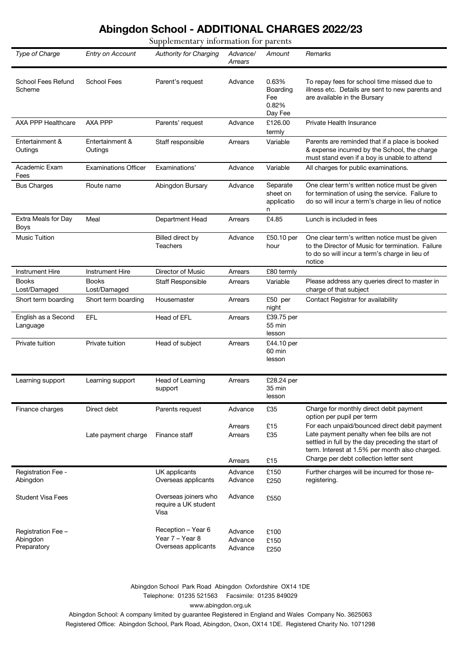## **Abingdon School - ADDITIONAL CHARGES 2022/23**

Supplementary information for parents

| Type of Charge                                | Entry on Account             | <b>Authority for Charging</b>                                | Advance/<br>Arrears           | Amount                                       | Remarks                                                                                                                                                                                            |
|-----------------------------------------------|------------------------------|--------------------------------------------------------------|-------------------------------|----------------------------------------------|----------------------------------------------------------------------------------------------------------------------------------------------------------------------------------------------------|
| School Fees Refund<br>Scheme                  | <b>School Fees</b>           | Parent's request                                             | Advance                       | 0.63%<br>Boarding<br>Fee<br>0.82%<br>Day Fee | To repay fees for school time missed due to<br>illness etc. Details are sent to new parents and<br>are available in the Bursary                                                                    |
| AXA PPP Healthcare                            | AXA PPP                      | Parents' request                                             | Advance                       | £126.00<br>termly                            | Private Health Insurance                                                                                                                                                                           |
| Entertainment &<br>Outings                    | Entertainment &<br>Outings   | Staff responsible                                            | Arrears                       | Variable                                     | Parents are reminded that if a place is booked<br>& expense incurred by the School, the charge<br>must stand even if a boy is unable to attend                                                     |
| Academic Exam<br>Fees                         | <b>Examinations Officer</b>  | Examinations'                                                | Advance                       | Variable                                     | All charges for public examinations.                                                                                                                                                               |
| <b>Bus Charges</b>                            | Route name                   | Abingdon Bursary                                             | Advance                       | Separate<br>sheet on<br>applicatio<br>n      | One clear term's written notice must be given<br>for termination of using the service. Failure to<br>do so will incur a term's charge in lieu of notice                                            |
| Extra Meals for Day<br>Boys                   | Meal                         | Department Head                                              | Arrears                       | £4.85                                        | Lunch is included in fees                                                                                                                                                                          |
| <b>Music Tuition</b>                          |                              | Billed direct by<br><b>Teachers</b>                          | Advance                       | £50.10 per<br>hour                           | One clear term's written notice must be given<br>to the Director of Music for termination. Failure<br>to do so will incur a term's charge in lieu of<br>notice                                     |
| <b>Instrument Hire</b>                        | <b>Instrument Hire</b>       | Director of Music                                            | Arrears                       | £80 termly                                   |                                                                                                                                                                                                    |
| <b>Books</b><br>Lost/Damaged                  | <b>Books</b><br>Lost/Damaged | <b>Staff Responsible</b>                                     | Arrears                       | Variable                                     | Please address any queries direct to master in<br>charge of that subject                                                                                                                           |
| Short term boarding                           | Short term boarding          | Housemaster                                                  | Arrears                       | £50 per<br>night                             | Contact Registrar for availability                                                                                                                                                                 |
| English as a Second<br>Language               | <b>EFL</b>                   | Head of EFL                                                  | Arrears                       | £39.75 per<br>55 min<br>lesson               |                                                                                                                                                                                                    |
| Private tuition                               | Private tuition              | Head of subject                                              | Arrears                       | £44.10 per<br>60 min<br>lesson               |                                                                                                                                                                                                    |
| Learning support                              | Learning support             | Head of Learning<br>support                                  | Arrears                       | £28.24 per<br>35 min<br>lesson               |                                                                                                                                                                                                    |
| Finance charges                               | Direct debt                  | Parents request                                              | Advance                       | £35                                          | Charge for monthly direct debit payment<br>option per pupil per term                                                                                                                               |
|                                               | Late payment charge          | Finance staff                                                | Arrears<br>Arrears            | £15<br>£35                                   | For each unpaid/bounced direct debit payment<br>Late payment penalty when fee bills are not<br>settled in full by the day preceding the start of<br>term. Interest at 1.5% per month also charged. |
|                                               |                              |                                                              | Arrears                       | £15                                          | Charge per debt collection letter sent                                                                                                                                                             |
| Registration Fee -<br>Abingdon                |                              | UK applicants<br>Overseas applicants                         | Advance<br>Advance            | £150<br>£250                                 | Further charges will be incurred for those re-<br>registering.                                                                                                                                     |
| <b>Student Visa Fees</b>                      |                              | Overseas joiners who<br>require a UK student<br>Visa         | Advance                       | £550                                         |                                                                                                                                                                                                    |
| Registration Fee -<br>Abingdon<br>Preparatory |                              | Reception - Year 6<br>Year 7 - Year 8<br>Overseas applicants | Advance<br>Advance<br>Advance | £100<br>£150<br>£250                         |                                                                                                                                                                                                    |

Abingdon School Park Road Abingdon Oxfordshire OX14 1DE Telephone: 01235 521563 Facsimile: 01235 849029 www.abingdon.org.uk

Abingdon School: A company limited by guarantee Registered in England and Wales Company No. 3625063 Registered Office: Abingdon School, Park Road, Abingdon, Oxon, OX14 1DE. Registered Charity No. 1071298